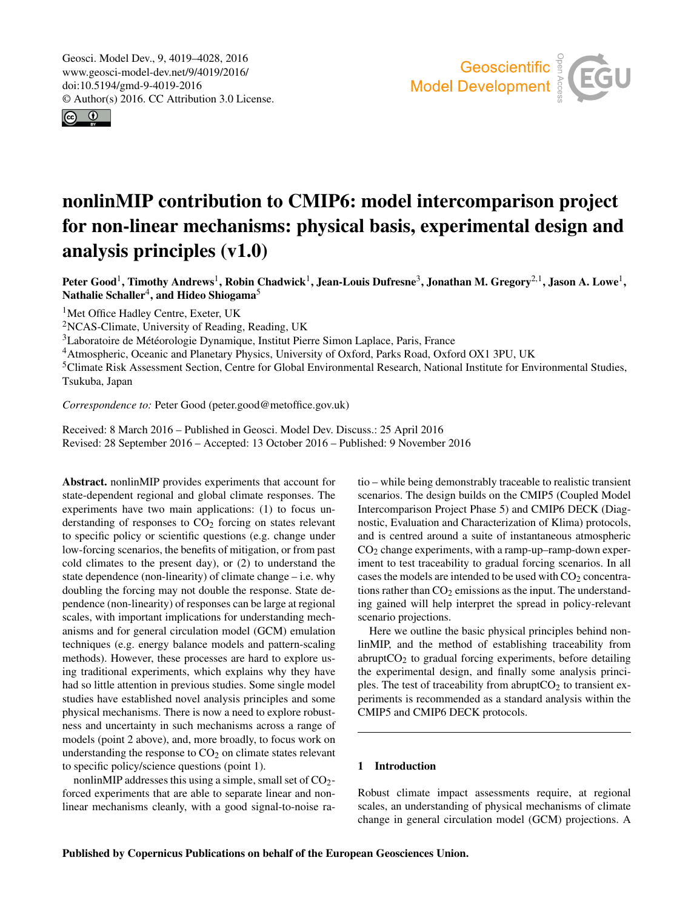<span id="page-0-1"></span>Geosci. Model Dev., 9, 4019–4028, 2016 www.geosci-model-dev.net/9/4019/2016/ doi:10.5194/gmd-9-4019-2016 © Author(s) 2016. CC Attribution 3.0 License.





# nonlinMIP contribution to CMIP6: model intercomparison project for non-linear mechanisms: physical basis, experimental design and analysis principles (v1.0)

Peter Good<sup>[1](#page-0-0)</sup>, Timothy Andrews<sup>1</sup>, Robin Chadwick<sup>1</sup>, Jean-Louis Dufresne<sup>[3](#page-0-0)</sup>, Jonathan M. Gregory<sup>[2,1](#page-0-0)</sup>, Jason A. Lowe<sup>1</sup>, Nathalie Schaller $^4$  $^4$ , and Hideo Shiogama $^5$  $^5$ 

<sup>1</sup>Met Office Hadley Centre, Exeter, UK

<sup>2</sup>NCAS-Climate, University of Reading, Reading, UK

<sup>3</sup>Laboratoire de Météorologie Dynamique, Institut Pierre Simon Laplace, Paris, France

<sup>4</sup>Atmospheric, Oceanic and Planetary Physics, University of Oxford, Parks Road, Oxford OX1 3PU, UK

<sup>5</sup>Climate Risk Assessment Section, Centre for Global Environmental Research, National Institute for Environmental Studies, Tsukuba, Japan

*Correspondence to:* Peter Good (peter.good@metoffice.gov.uk)

Received: 8 March 2016 – Published in Geosci. Model Dev. Discuss.: 25 April 2016 Revised: 28 September 2016 – Accepted: 13 October 2016 – Published: 9 November 2016

<span id="page-0-0"></span>Abstract. nonlinMIP provides experiments that account for state-dependent regional and global climate responses. The experiments have two main applications: (1) to focus understanding of responses to  $CO<sub>2</sub>$  forcing on states relevant to specific policy or scientific questions (e.g. change under low-forcing scenarios, the benefits of mitigation, or from past cold climates to the present day), or (2) to understand the state dependence (non-linearity) of climate change – i.e. why doubling the forcing may not double the response. State dependence (non-linearity) of responses can be large at regional scales, with important implications for understanding mechanisms and for general circulation model (GCM) emulation techniques (e.g. energy balance models and pattern-scaling methods). However, these processes are hard to explore using traditional experiments, which explains why they have had so little attention in previous studies. Some single model studies have established novel analysis principles and some physical mechanisms. There is now a need to explore robustness and uncertainty in such mechanisms across a range of models (point 2 above), and, more broadly, to focus work on understanding the response to  $CO<sub>2</sub>$  on climate states relevant to specific policy/science questions (point 1).

nonlinMIP addresses this using a simple, small set of  $CO<sub>2</sub>$ forced experiments that are able to separate linear and nonlinear mechanisms cleanly, with a good signal-to-noise ratio – while being demonstrably traceable to realistic transient scenarios. The design builds on the CMIP5 (Coupled Model Intercomparison Project Phase 5) and CMIP6 DECK (Diagnostic, Evaluation and Characterization of Klima) protocols, and is centred around a suite of instantaneous atmospheric CO<sup>2</sup> change experiments, with a ramp-up–ramp-down experiment to test traceability to gradual forcing scenarios. In all cases the models are intended to be used with  $CO<sub>2</sub>$  concentrations rather than  $CO<sub>2</sub>$  emissions as the input. The understanding gained will help interpret the spread in policy-relevant scenario projections.

Here we outline the basic physical principles behind nonlinMIP, and the method of establishing traceability from abrupt $CO<sub>2</sub>$  to gradual forcing experiments, before detailing the experimental design, and finally some analysis principles. The test of traceability from abrupt $CO<sub>2</sub>$  to transient experiments is recommended as a standard analysis within the CMIP5 and CMIP6 DECK protocols.

# 1 Introduction

Robust climate impact assessments require, at regional scales, an understanding of physical mechanisms of climate change in general circulation model (GCM) projections. A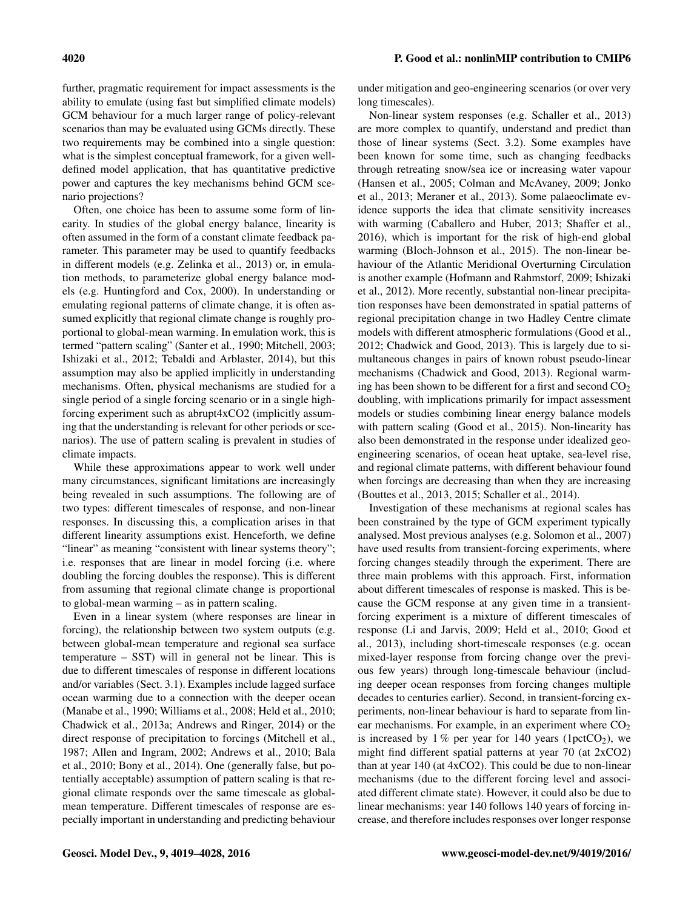#### 4020 P. Good et al.: nonlinMIP contribution to CMIP6

further, pragmatic requirement for impact assessments is the ability to emulate (using fast but simplified climate models) GCM behaviour for a much larger range of policy-relevant scenarios than may be evaluated using GCMs directly. These two requirements may be combined into a single question: what is the simplest conceptual framework, for a given welldefined model application, that has quantitative predictive power and captures the key mechanisms behind GCM scenario projections?

Often, one choice has been to assume some form of linearity. In studies of the global energy balance, linearity is often assumed in the form of a constant climate feedback parameter. This parameter may be used to quantify feedbacks in different models (e.g. Zelinka et al., 2013) or, in emulation methods, to parameterize global energy balance models (e.g. Huntingford and Cox, 2000). In understanding or emulating regional patterns of climate change, it is often assumed explicitly that regional climate change is roughly proportional to global-mean warming. In emulation work, this is termed "pattern scaling" (Santer et al., 1990; Mitchell, 2003; Ishizaki et al., 2012; Tebaldi and Arblaster, 2014), but this assumption may also be applied implicitly in understanding mechanisms. Often, physical mechanisms are studied for a single period of a single forcing scenario or in a single highforcing experiment such as abrupt4xCO2 (implicitly assuming that the understanding is relevant for other periods or scenarios). The use of pattern scaling is prevalent in studies of climate impacts.

While these approximations appear to work well under many circumstances, significant limitations are increasingly being revealed in such assumptions. The following are of two types: different timescales of response, and non-linear responses. In discussing this, a complication arises in that different linearity assumptions exist. Henceforth, we define "linear" as meaning "consistent with linear systems theory"; i.e. responses that are linear in model forcing (i.e. where doubling the forcing doubles the response). This is different from assuming that regional climate change is proportional to global-mean warming – as in pattern scaling.

Even in a linear system (where responses are linear in forcing), the relationship between two system outputs (e.g. between global-mean temperature and regional sea surface temperature – SST) will in general not be linear. This is due to different timescales of response in different locations and/or variables (Sect. 3.1). Examples include lagged surface ocean warming due to a connection with the deeper ocean (Manabe et al., 1990; Williams et al., 2008; Held et al., 2010; Chadwick et al., 2013a; Andrews and Ringer, 2014) or the direct response of precipitation to forcings (Mitchell et al., 1987; Allen and Ingram, 2002; Andrews et al., 2010; Bala et al., 2010; Bony et al., 2014). One (generally false, but potentially acceptable) assumption of pattern scaling is that regional climate responds over the same timescale as globalmean temperature. Different timescales of response are especially important in understanding and predicting behaviour under mitigation and geo-engineering scenarios (or over very long timescales).

Non-linear system responses (e.g. Schaller et al., 2013) are more complex to quantify, understand and predict than those of linear systems (Sect. 3.2). Some examples have been known for some time, such as changing feedbacks through retreating snow/sea ice or increasing water vapour (Hansen et al., 2005; Colman and McAvaney, 2009; Jonko et al., 2013; Meraner et al., 2013). Some palaeoclimate evidence supports the idea that climate sensitivity increases with warming (Caballero and Huber, 2013; Shaffer et al., 2016), which is important for the risk of high-end global warming (Bloch-Johnson et al., 2015). The non-linear behaviour of the Atlantic Meridional Overturning Circulation is another example (Hofmann and Rahmstorf, 2009; Ishizaki et al., 2012). More recently, substantial non-linear precipitation responses have been demonstrated in spatial patterns of regional precipitation change in two Hadley Centre climate models with different atmospheric formulations (Good et al., 2012; Chadwick and Good, 2013). This is largely due to simultaneous changes in pairs of known robust pseudo-linear mechanisms (Chadwick and Good, 2013). Regional warming has been shown to be different for a first and second  $CO<sub>2</sub>$ doubling, with implications primarily for impact assessment models or studies combining linear energy balance models with pattern scaling (Good et al., 2015). Non-linearity has also been demonstrated in the response under idealized geoengineering scenarios, of ocean heat uptake, sea-level rise, and regional climate patterns, with different behaviour found when forcings are decreasing than when they are increasing (Bouttes et al., 2013, 2015; Schaller et al., 2014).

Investigation of these mechanisms at regional scales has been constrained by the type of GCM experiment typically analysed. Most previous analyses (e.g. Solomon et al., 2007) have used results from transient-forcing experiments, where forcing changes steadily through the experiment. There are three main problems with this approach. First, information about different timescales of response is masked. This is because the GCM response at any given time in a transientforcing experiment is a mixture of different timescales of response (Li and Jarvis, 2009; Held et al., 2010; Good et al., 2013), including short-timescale responses (e.g. ocean mixed-layer response from forcing change over the previous few years) through long-timescale behaviour (including deeper ocean responses from forcing changes multiple decades to centuries earlier). Second, in transient-forcing experiments, non-linear behaviour is hard to separate from linear mechanisms. For example, in an experiment where  $CO<sub>2</sub>$ is increased by  $1\%$  per year for 140 years (1pctCO<sub>2</sub>), we might find different spatial patterns at year 70 (at 2xCO2) than at year 140 (at 4xCO2). This could be due to non-linear mechanisms (due to the different forcing level and associated different climate state). However, it could also be due to linear mechanisms: year 140 follows 140 years of forcing increase, and therefore includes responses over longer response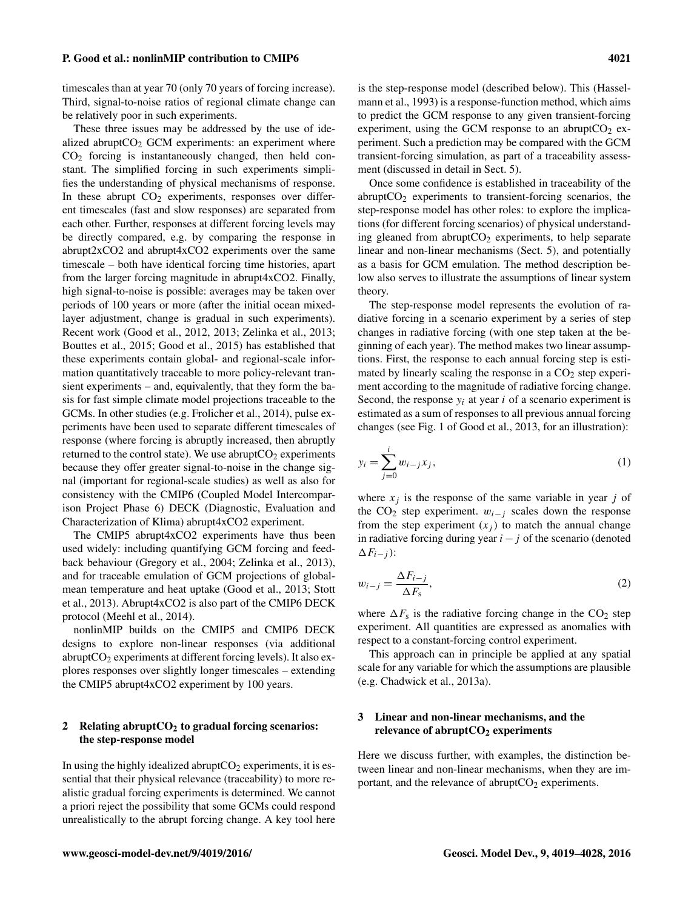timescales than at year 70 (only 70 years of forcing increase). Third, signal-to-noise ratios of regional climate change can be relatively poor in such experiments.

These three issues may be addressed by the use of idealized abrupt $CO<sub>2</sub>$  GCM experiments: an experiment where CO<sup>2</sup> forcing is instantaneously changed, then held constant. The simplified forcing in such experiments simplifies the understanding of physical mechanisms of response. In these abrupt  $CO<sub>2</sub>$  experiments, responses over different timescales (fast and slow responses) are separated from each other. Further, responses at different forcing levels may be directly compared, e.g. by comparing the response in abrupt2xCO2 and abrupt4xCO2 experiments over the same timescale – both have identical forcing time histories, apart from the larger forcing magnitude in abrupt4xCO2. Finally, high signal-to-noise is possible: averages may be taken over periods of 100 years or more (after the initial ocean mixedlayer adjustment, change is gradual in such experiments). Recent work (Good et al., 2012, 2013; Zelinka et al., 2013; Bouttes et al., 2015; Good et al., 2015) has established that these experiments contain global- and regional-scale information quantitatively traceable to more policy-relevant transient experiments – and, equivalently, that they form the basis for fast simple climate model projections traceable to the GCMs. In other studies (e.g. Frolicher et al., 2014), pulse experiments have been used to separate different timescales of response (where forcing is abruptly increased, then abruptly returned to the control state). We use abrupt $CO<sub>2</sub>$  experiments because they offer greater signal-to-noise in the change signal (important for regional-scale studies) as well as also for consistency with the CMIP6 (Coupled Model Intercomparison Project Phase 6) DECK (Diagnostic, Evaluation and Characterization of Klima) abrupt4xCO2 experiment.

The CMIP5 abrupt4xCO2 experiments have thus been used widely: including quantifying GCM forcing and feedback behaviour (Gregory et al., 2004; Zelinka et al., 2013), and for traceable emulation of GCM projections of globalmean temperature and heat uptake (Good et al., 2013; Stott et al., 2013). Abrupt4xCO2 is also part of the CMIP6 DECK protocol (Meehl et al., 2014).

nonlinMIP builds on the CMIP5 and CMIP6 DECK designs to explore non-linear responses (via additional abrupt $CO<sub>2</sub>$  experiments at different forcing levels). It also explores responses over slightly longer timescales – extending the CMIP5 abrupt4xCO2 experiment by 100 years.

#### 2 Relating abrupt $CO<sub>2</sub>$  to gradual forcing scenarios: the step-response model

In using the highly idealized abrupt $CO<sub>2</sub>$  experiments, it is essential that their physical relevance (traceability) to more realistic gradual forcing experiments is determined. We cannot a priori reject the possibility that some GCMs could respond unrealistically to the abrupt forcing change. A key tool here is the step-response model (described below). This (Hasselmann et al., 1993) is a response-function method, which aims to predict the GCM response to any given transient-forcing experiment, using the GCM response to an abrupt $CO<sub>2</sub>$  experiment. Such a prediction may be compared with the GCM transient-forcing simulation, as part of a traceability assessment (discussed in detail in Sect. 5).

Once some confidence is established in traceability of the abrupt $CO<sub>2</sub>$  experiments to transient-forcing scenarios, the step-response model has other roles: to explore the implications (for different forcing scenarios) of physical understanding gleaned from abrupt $CO<sub>2</sub>$  experiments, to help separate linear and non-linear mechanisms (Sect. 5), and potentially as a basis for GCM emulation. The method description below also serves to illustrate the assumptions of linear system theory.

The step-response model represents the evolution of radiative forcing in a scenario experiment by a series of step changes in radiative forcing (with one step taken at the beginning of each year). The method makes two linear assumptions. First, the response to each annual forcing step is estimated by linearly scaling the response in a  $CO<sub>2</sub>$  step experiment according to the magnitude of radiative forcing change. Second, the response  $y_i$  at year i of a scenario experiment is estimated as a sum of responses to all previous annual forcing changes (see Fig. 1 of Good et al., 2013, for an illustration):

$$
y_i = \sum_{j=0}^{i} w_{i-j} x_j,
$$
 (1)

where  $x_i$  is the response of the same variable in year j of the CO<sub>2</sub> step experiment.  $w_{i-j}$  scales down the response from the step experiment  $(x_i)$  to match the annual change in radiative forcing during year  $i - j$  of the scenario (denoted  $\Delta F_{i-j}$ ):

$$
w_{i-j} = \frac{\Delta F_{i-j}}{\Delta F_s},\tag{2}
$$

where  $\Delta F_s$  is the radiative forcing change in the CO<sub>2</sub> step experiment. All quantities are expressed as anomalies with respect to a constant-forcing control experiment.

This approach can in principle be applied at any spatial scale for any variable for which the assumptions are plausible (e.g. Chadwick et al., 2013a).

## 3 Linear and non-linear mechanisms, and the relevance of abrupt $CO<sub>2</sub>$  experiments

Here we discuss further, with examples, the distinction between linear and non-linear mechanisms, when they are important, and the relevance of abrupt $CO<sub>2</sub>$  experiments.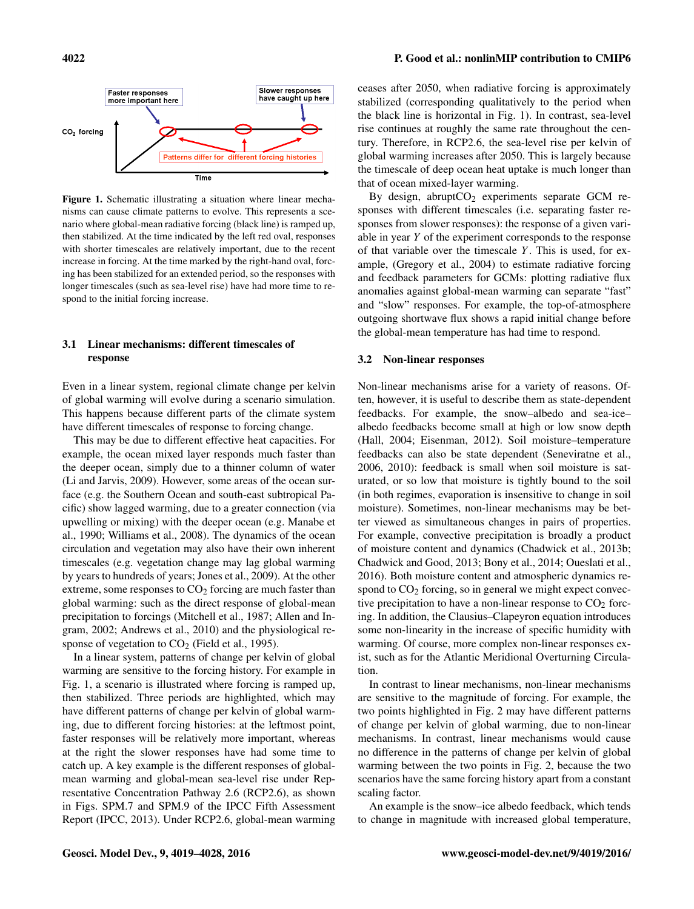

Figure 1. Schematic illustrating a situation where linear mechanisms can cause climate patterns to evolve. This represents a scenario where global-mean radiative forcing (black line) is ramped up, then stabilized. At the time indicated by the left red oval, responses with shorter timescales are relatively important, due to the recent increase in forcing. At the time marked by the right-hand oval, forcing has been stabilized for an extended period, so the responses with longer timescales (such as sea-level rise) have had more time to respond to the initial forcing increase.

## 3.1 Linear mechanisms: different timescales of response

Even in a linear system, regional climate change per kelvin of global warming will evolve during a scenario simulation. This happens because different parts of the climate system have different timescales of response to forcing change.

This may be due to different effective heat capacities. For example, the ocean mixed layer responds much faster than the deeper ocean, simply due to a thinner column of water (Li and Jarvis, 2009). However, some areas of the ocean surface (e.g. the Southern Ocean and south-east subtropical Pacific) show lagged warming, due to a greater connection (via upwelling or mixing) with the deeper ocean (e.g. Manabe et al., 1990; Williams et al., 2008). The dynamics of the ocean circulation and vegetation may also have their own inherent timescales (e.g. vegetation change may lag global warming by years to hundreds of years; Jones et al., 2009). At the other extreme, some responses to  $CO<sub>2</sub>$  forcing are much faster than global warming: such as the direct response of global-mean precipitation to forcings (Mitchell et al., 1987; Allen and Ingram, 2002; Andrews et al., 2010) and the physiological response of vegetation to  $CO<sub>2</sub>$  (Field et al., 1995).

In a linear system, patterns of change per kelvin of global warming are sensitive to the forcing history. For example in Fig. 1, a scenario is illustrated where forcing is ramped up, then stabilized. Three periods are highlighted, which may have different patterns of change per kelvin of global warming, due to different forcing histories: at the leftmost point, faster responses will be relatively more important, whereas at the right the slower responses have had some time to catch up. A key example is the different responses of globalmean warming and global-mean sea-level rise under Representative Concentration Pathway 2.6 (RCP2.6), as shown in Figs. SPM.7 and SPM.9 of the IPCC Fifth Assessment Report (IPCC, 2013). Under RCP2.6, global-mean warming ceases after 2050, when radiative forcing is approximately stabilized (corresponding qualitatively to the period when the black line is horizontal in Fig. 1). In contrast, sea-level rise continues at roughly the same rate throughout the century. Therefore, in RCP2.6, the sea-level rise per kelvin of global warming increases after 2050. This is largely because the timescale of deep ocean heat uptake is much longer than that of ocean mixed-layer warming.

By design, abrupt $CO<sub>2</sub>$  experiments separate GCM responses with different timescales (i.e. separating faster responses from slower responses): the response of a given variable in year Y of the experiment corresponds to the response of that variable over the timescale  $Y$ . This is used, for example, (Gregory et al., 2004) to estimate radiative forcing and feedback parameters for GCMs: plotting radiative flux anomalies against global-mean warming can separate "fast" and "slow" responses. For example, the top-of-atmosphere outgoing shortwave flux shows a rapid initial change before the global-mean temperature has had time to respond.

#### 3.2 Non-linear responses

Non-linear mechanisms arise for a variety of reasons. Often, however, it is useful to describe them as state-dependent feedbacks. For example, the snow–albedo and sea-ice– albedo feedbacks become small at high or low snow depth (Hall, 2004; Eisenman, 2012). Soil moisture–temperature feedbacks can also be state dependent (Seneviratne et al., 2006, 2010): feedback is small when soil moisture is saturated, or so low that moisture is tightly bound to the soil (in both regimes, evaporation is insensitive to change in soil moisture). Sometimes, non-linear mechanisms may be better viewed as simultaneous changes in pairs of properties. For example, convective precipitation is broadly a product of moisture content and dynamics (Chadwick et al., 2013b; Chadwick and Good, 2013; Bony et al., 2014; Oueslati et al., 2016). Both moisture content and atmospheric dynamics respond to  $CO<sub>2</sub>$  forcing, so in general we might expect convective precipitation to have a non-linear response to  $CO<sub>2</sub>$  forcing. In addition, the Clausius–Clapeyron equation introduces some non-linearity in the increase of specific humidity with warming. Of course, more complex non-linear responses exist, such as for the Atlantic Meridional Overturning Circulation.

In contrast to linear mechanisms, non-linear mechanisms are sensitive to the magnitude of forcing. For example, the two points highlighted in Fig. 2 may have different patterns of change per kelvin of global warming, due to non-linear mechanisms. In contrast, linear mechanisms would cause no difference in the patterns of change per kelvin of global warming between the two points in Fig. 2, because the two scenarios have the same forcing history apart from a constant scaling factor.

An example is the snow–ice albedo feedback, which tends to change in magnitude with increased global temperature,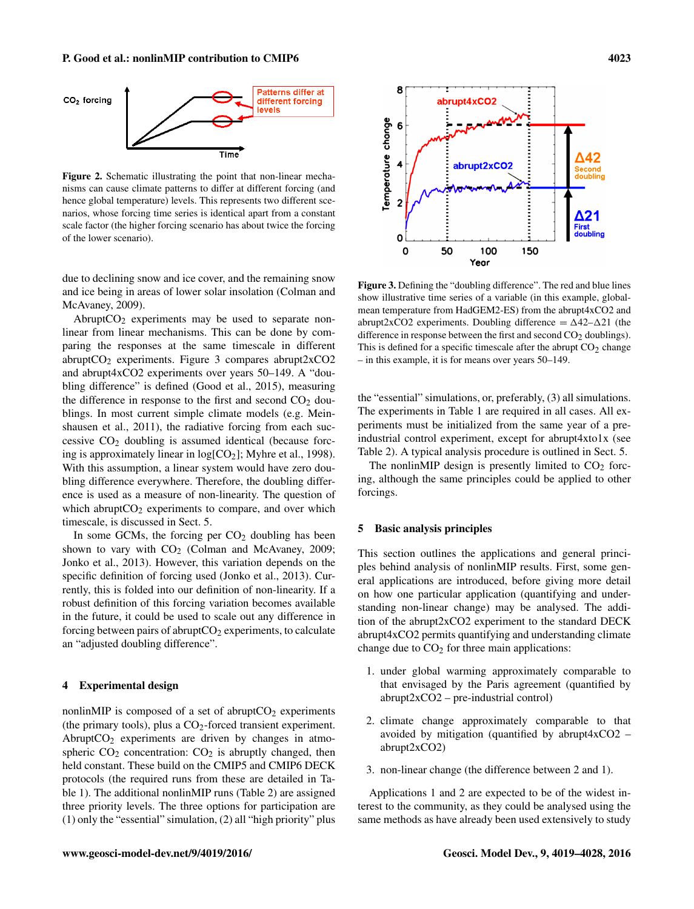#### P. Good et al.: nonlinMIP contribution to CMIP6 4023



Figure 2. Schematic illustrating the point that non-linear mechanisms can cause climate patterns to differ at different forcing (and hence global temperature) levels. This represents two different scenarios, whose forcing time series is identical apart from a constant scale factor (the higher forcing scenario has about twice the forcing of the lower scenario).

due to declining snow and ice cover, and the remaining snow and ice being in areas of lower solar insolation (Colman and McAvaney, 2009).

Abrupt $CO<sub>2</sub>$  experiments may be used to separate nonlinear from linear mechanisms. This can be done by comparing the responses at the same timescale in different abrupt $CO<sub>2</sub>$  experiments. Figure 3 compares abrupt2x $CO<sub>2</sub>$ and abrupt4xCO2 experiments over years 50–149. A "doubling difference" is defined (Good et al., 2015), measuring the difference in response to the first and second  $CO<sub>2</sub>$  doublings. In most current simple climate models (e.g. Meinshausen et al., 2011), the radiative forcing from each successive  $CO<sub>2</sub>$  doubling is assumed identical (because forcing is approximately linear in  $log[CO_2]$ ; Myhre et al., 1998). With this assumption, a linear system would have zero doubling difference everywhere. Therefore, the doubling difference is used as a measure of non-linearity. The question of which abrupt $CO<sub>2</sub>$  experiments to compare, and over which timescale, is discussed in Sect. 5.

In some GCMs, the forcing per  $CO<sub>2</sub>$  doubling has been shown to vary with  $CO<sub>2</sub>$  (Colman and McAvaney, 2009; Jonko et al., 2013). However, this variation depends on the specific definition of forcing used (Jonko et al., 2013). Currently, this is folded into our definition of non-linearity. If a robust definition of this forcing variation becomes available in the future, it could be used to scale out any difference in forcing between pairs of abrupt $CO<sub>2</sub>$  experiments, to calculate an "adjusted doubling difference".

## 4 Experimental design

nonlinMIP is composed of a set of abrupt $CO<sub>2</sub>$  experiments (the primary tools), plus a  $CO<sub>2</sub>$ -forced transient experiment. Abrupt $CO<sub>2</sub>$  experiments are driven by changes in atmospheric  $CO<sub>2</sub>$  concentration:  $CO<sub>2</sub>$  is abruptly changed, then held constant. These build on the CMIP5 and CMIP6 DECK protocols (the required runs from these are detailed in Table 1). The additional nonlinMIP runs (Table 2) are assigned three priority levels. The three options for participation are (1) only the "essential" simulation, (2) all "high priority" plus



Figure 3. Defining the "doubling difference". The red and blue lines show illustrative time series of a variable (in this example, globalmean temperature from HadGEM2-ES) from the abrupt4xCO2 and abrupt2xCO2 experiments. Doubling difference  $= \Delta 42 - \Delta 21$  (the difference in response between the first and second  $CO<sub>2</sub>$  doublings). This is defined for a specific timescale after the abrupt  $CO<sub>2</sub>$  change – in this example, it is for means over years 50–149.

the "essential" simulations, or, preferably, (3) all simulations. The experiments in Table 1 are required in all cases. All experiments must be initialized from the same year of a preindustrial control experiment, except for abrupt4xto1x (see Table 2). A typical analysis procedure is outlined in Sect. 5.

The nonlinMIP design is presently limited to  $CO<sub>2</sub>$  forcing, although the same principles could be applied to other forcings.

#### 5 Basic analysis principles

This section outlines the applications and general principles behind analysis of nonlinMIP results. First, some general applications are introduced, before giving more detail on how one particular application (quantifying and understanding non-linear change) may be analysed. The addition of the abrupt2xCO2 experiment to the standard DECK abrupt4xCO2 permits quantifying and understanding climate change due to  $CO<sub>2</sub>$  for three main applications:

- 1. under global warming approximately comparable to that envisaged by the Paris agreement (quantified by abrupt2xCO2 – pre-industrial control)
- 2. climate change approximately comparable to that avoided by mitigation (quantified by abrupt $4 \times CO2$  – abrupt2xCO2)
- 3. non-linear change (the difference between 2 and 1).

Applications 1 and 2 are expected to be of the widest interest to the community, as they could be analysed using the same methods as have already been used extensively to study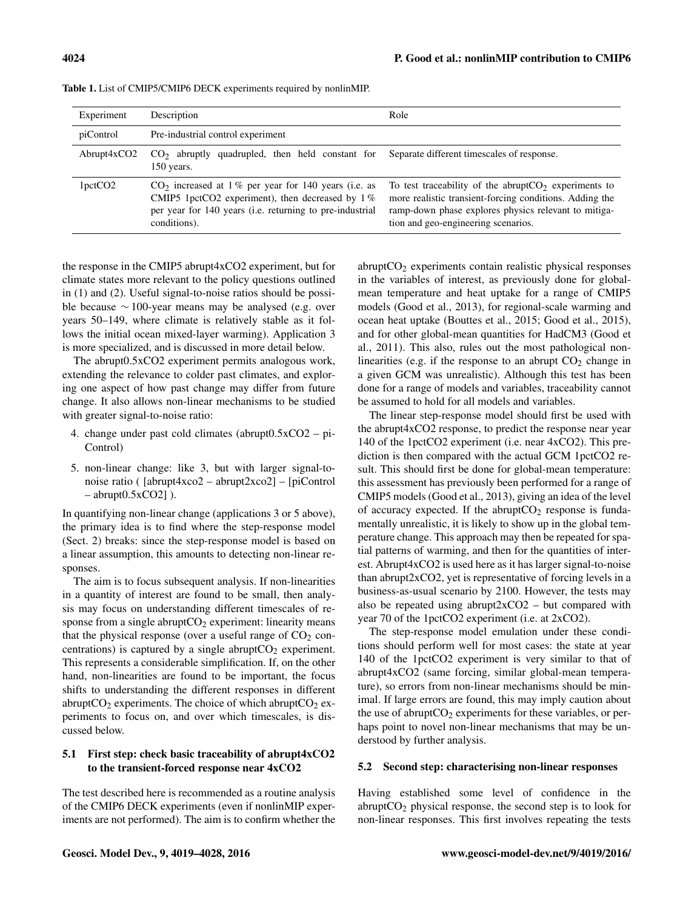| Experiment           | Description                                                                                                                                                                             | Role                                                                                                                                                                                                              |
|----------------------|-----------------------------------------------------------------------------------------------------------------------------------------------------------------------------------------|-------------------------------------------------------------------------------------------------------------------------------------------------------------------------------------------------------------------|
| piControl            | Pre-industrial control experiment                                                                                                                                                       |                                                                                                                                                                                                                   |
| $\text{Abrupt4xCO2}$ | $CO2$ abruptly quadrupled, then held constant for<br>150 years.                                                                                                                         | Separate different timescales of response.                                                                                                                                                                        |
| 1 <sub>petCO2</sub>  | $CO2$ increased at 1% per year for 140 years (i.e. as<br>CMIP5 1pctCO2 experiment), then decreased by $1\%$<br>per year for 140 years (i.e. returning to pre-industrial<br>conditions). | To test traceability of the abrupt $CO2$ experiments to<br>more realistic transient-forcing conditions. Adding the<br>ramp-down phase explores physics relevant to mitiga-<br>tion and geo-engineering scenarios. |

Table 1. List of CMIP5/CMIP6 DECK experiments required by nonlinMIP.

the response in the CMIP5 abrupt4xCO2 experiment, but for climate states more relevant to the policy questions outlined in (1) and (2). Useful signal-to-noise ratios should be possible because ∼ 100-year means may be analysed (e.g. over years 50–149, where climate is relatively stable as it follows the initial ocean mixed-layer warming). Application 3 is more specialized, and is discussed in more detail below.

The abrupt0.5xCO2 experiment permits analogous work, extending the relevance to colder past climates, and exploring one aspect of how past change may differ from future change. It also allows non-linear mechanisms to be studied with greater signal-to-noise ratio:

- 4. change under past cold climates (abrupt0.5xCO2 pi-Control)
- 5. non-linear change: like 3, but with larger signal-tonoise ratio ( [abrupt4xco2 – abrupt2xco2] – [piControl  $-$  abrupt $0.5xCO2$ ] ).

In quantifying non-linear change (applications 3 or 5 above), the primary idea is to find where the step-response model (Sect. 2) breaks: since the step-response model is based on a linear assumption, this amounts to detecting non-linear responses.

The aim is to focus subsequent analysis. If non-linearities in a quantity of interest are found to be small, then analysis may focus on understanding different timescales of response from a single abrupt $CO<sub>2</sub>$  experiment: linearity means that the physical response (over a useful range of  $CO<sub>2</sub>$  concentrations) is captured by a single abrupt $CO<sub>2</sub>$  experiment. This represents a considerable simplification. If, on the other hand, non-linearities are found to be important, the focus shifts to understanding the different responses in different abrupt $CO_2$  experiments. The choice of which abrupt $CO_2$  experiments to focus on, and over which timescales, is discussed below.

## 5.1 First step: check basic traceability of abrupt4xCO2 to the transient-forced response near 4xCO2

The test described here is recommended as a routine analysis of the CMIP6 DECK experiments (even if nonlinMIP experiments are not performed). The aim is to confirm whether the

 $abruptCO<sub>2</sub> experiments contain realistic physical responses$ in the variables of interest, as previously done for globalmean temperature and heat uptake for a range of CMIP5 models (Good et al., 2013), for regional-scale warming and ocean heat uptake (Bouttes et al., 2015; Good et al., 2015), and for other global-mean quantities for HadCM3 (Good et al., 2011). This also, rules out the most pathological nonlinearities (e.g. if the response to an abrupt  $CO<sub>2</sub>$  change in a given GCM was unrealistic). Although this test has been done for a range of models and variables, traceability cannot be assumed to hold for all models and variables.

The linear step-response model should first be used with the abrupt4xCO2 response, to predict the response near year 140 of the 1pctCO2 experiment (i.e. near 4xCO2). This prediction is then compared with the actual GCM 1pctCO2 result. This should first be done for global-mean temperature: this assessment has previously been performed for a range of CMIP5 models (Good et al., 2013), giving an idea of the level of accuracy expected. If the abrupt $CO<sub>2</sub>$  response is fundamentally unrealistic, it is likely to show up in the global temperature change. This approach may then be repeated for spatial patterns of warming, and then for the quantities of interest. Abrupt4xCO2 is used here as it has larger signal-to-noise than abrupt2xCO2, yet is representative of forcing levels in a business-as-usual scenario by 2100. However, the tests may also be repeated using abrupt $2xCO2 - but compared with$ year 70 of the 1pctCO2 experiment (i.e. at 2xCO2).

The step-response model emulation under these conditions should perform well for most cases: the state at year 140 of the 1pctCO2 experiment is very similar to that of abrupt4xCO2 (same forcing, similar global-mean temperature), so errors from non-linear mechanisms should be minimal. If large errors are found, this may imply caution about the use of abrupt $CO<sub>2</sub>$  experiments for these variables, or perhaps point to novel non-linear mechanisms that may be understood by further analysis.

#### 5.2 Second step: characterising non-linear responses

Having established some level of confidence in the abrupt $CO<sub>2</sub>$  physical response, the second step is to look for non-linear responses. This first involves repeating the tests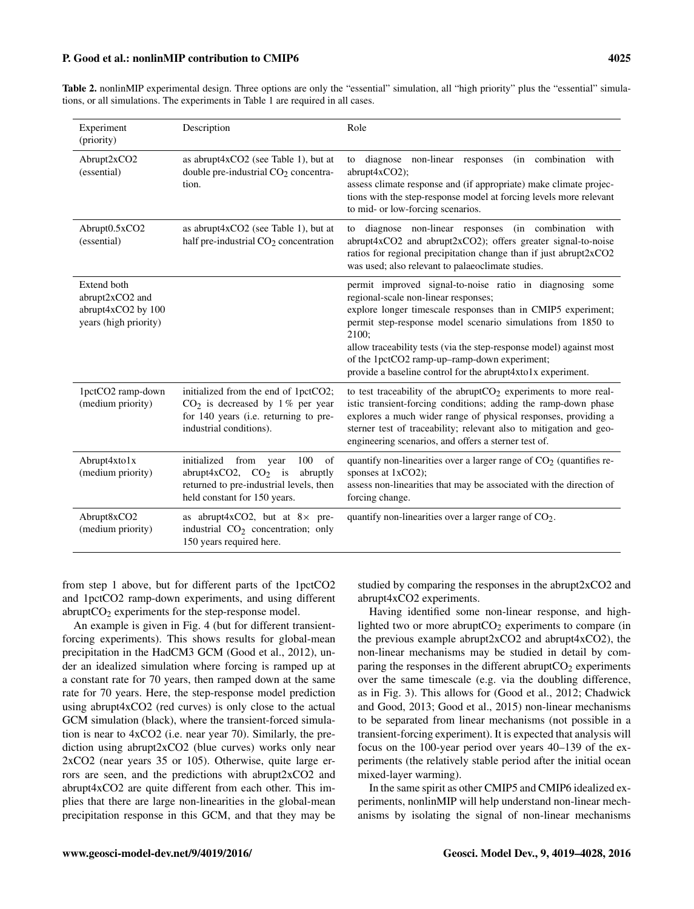#### P. Good et al.: nonlinMIP contribution to CMIP6 4025

Table 2. nonlinMIP experimental design. Three options are only the "essential" simulation, all "high priority" plus the "essential" simulations, or all simulations. The experiments in Table 1 are required in all cases.

| Experiment<br>(priority)                                                      | Description                                                                                                                                                  | Role                                                                                                                                                                                                                                                                                                                                                                                                                            |
|-------------------------------------------------------------------------------|--------------------------------------------------------------------------------------------------------------------------------------------------------------|---------------------------------------------------------------------------------------------------------------------------------------------------------------------------------------------------------------------------------------------------------------------------------------------------------------------------------------------------------------------------------------------------------------------------------|
| Abrupt2xCO2<br>(essential)                                                    | as abrupt4xCO2 (see Table 1), but at<br>double pre-industrial CO <sub>2</sub> concentra-<br>tion.                                                            | diagnose non-linear responses<br>(in combination with<br>to<br>abrupt4xCO2);<br>assess climate response and (if appropriate) make climate projec-<br>tions with the step-response model at forcing levels more relevant<br>to mid- or low-forcing scenarios.                                                                                                                                                                    |
| Abrupt0.5xCO2<br>(essential)                                                  | as abrupt4xCO2 (see Table 1), but at<br>half pre-industrial $CO2$ concentration                                                                              | diagnose non-linear responses (in combination with<br>to<br>abrupt4xCO2 and abrupt2xCO2); offers greater signal-to-noise<br>ratios for regional precipitation change than if just abrupt2xCO2<br>was used; also relevant to palaeoclimate studies.                                                                                                                                                                              |
| Extend both<br>abrupt2xCO2 and<br>abrupt4xCO2 by 100<br>years (high priority) |                                                                                                                                                              | permit improved signal-to-noise ratio in diagnosing some<br>regional-scale non-linear responses;<br>explore longer timescale responses than in CMIP5 experiment;<br>permit step-response model scenario simulations from 1850 to<br>2100:<br>allow traceability tests (via the step-response model) against most<br>of the 1pctCO2 ramp-up-ramp-down experiment;<br>provide a baseline control for the abrupt4xto1x experiment. |
| 1pctCO2 ramp-down<br>(medium priority)                                        | initialized from the end of 1pctCO2;<br>$CO2$ is decreased by 1% per year<br>for 140 years (i.e. returning to pre-<br>industrial conditions).                | to test traceability of the abrupt $CO2$ experiments to more real-<br>istic transient-forcing conditions; adding the ramp-down phase<br>explores a much wider range of physical responses, providing a<br>sterner test of traceability; relevant also to mitigation and geo-<br>engineering scenarios, and offers a sterner test of.                                                                                            |
| Abrupt4xto1x<br>(medium priority)                                             | initialized<br>100<br>of<br>from<br>year<br>abrupt $4xCO2$ , $CO2$ is<br>abruptly<br>returned to pre-industrial levels, then<br>held constant for 150 years. | quantify non-linearities over a larger range of $CO2$ (quantifies re-<br>sponses at 1xCO2);<br>assess non-linearities that may be associated with the direction of<br>forcing change.                                                                                                                                                                                                                                           |
| Abrupt8xCO2<br>(medium priority)                                              | as abrupt $4xCO2$ , but at $8 \times$ pre-<br>industrial CO <sub>2</sub> concentration; only<br>150 years required here.                                     | quantify non-linearities over a larger range of $CO2$ .                                                                                                                                                                                                                                                                                                                                                                         |

from step 1 above, but for different parts of the 1pctCO2 and 1pctCO2 ramp-down experiments, and using different abrupt $CO<sub>2</sub>$  experiments for the step-response model.

An example is given in Fig. 4 (but for different transientforcing experiments). This shows results for global-mean precipitation in the HadCM3 GCM (Good et al., 2012), under an idealized simulation where forcing is ramped up at a constant rate for 70 years, then ramped down at the same rate for 70 years. Here, the step-response model prediction using abrupt4xCO2 (red curves) is only close to the actual GCM simulation (black), where the transient-forced simulation is near to 4xCO2 (i.e. near year 70). Similarly, the prediction using abrupt2xCO2 (blue curves) works only near 2xCO2 (near years 35 or 105). Otherwise, quite large errors are seen, and the predictions with abrupt2xCO2 and abrupt4xCO2 are quite different from each other. This implies that there are large non-linearities in the global-mean precipitation response in this GCM, and that they may be studied by comparing the responses in the abrupt2xCO2 and abrupt4xCO2 experiments.

Having identified some non-linear response, and highlighted two or more abrupt $CO<sub>2</sub>$  experiments to compare (in the previous example abrupt2xCO2 and abrupt4xCO2), the non-linear mechanisms may be studied in detail by comparing the responses in the different abrupt $CO<sub>2</sub>$  experiments over the same timescale (e.g. via the doubling difference, as in Fig. 3). This allows for (Good et al., 2012; Chadwick and Good, 2013; Good et al., 2015) non-linear mechanisms to be separated from linear mechanisms (not possible in a transient-forcing experiment). It is expected that analysis will focus on the 100-year period over years 40–139 of the experiments (the relatively stable period after the initial ocean mixed-layer warming).

In the same spirit as other CMIP5 and CMIP6 idealized experiments, nonlinMIP will help understand non-linear mechanisms by isolating the signal of non-linear mechanisms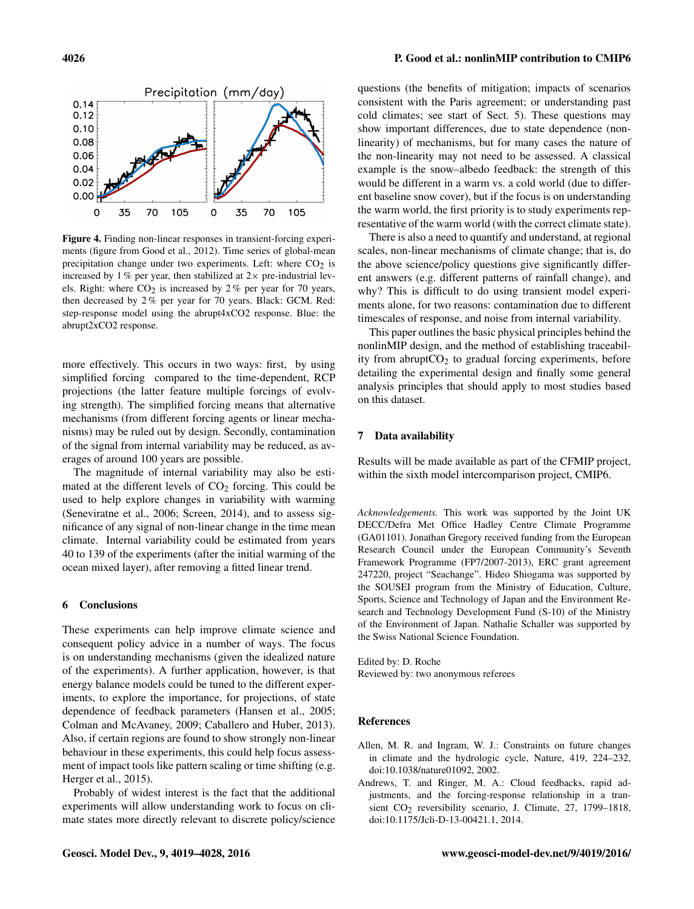

Figure 4. Finding non-linear responses in transient-forcing experiments (figure from Good et al., 2012). Time series of global-mean precipitation change under two experiments. Left: where  $CO<sub>2</sub>$  is increased by 1 % per year, then stabilized at  $2 \times$  pre-industrial levels. Right: where  $CO<sub>2</sub>$  is increased by 2% per year for 70 years, then decreased by 2 % per year for 70 years. Black: GCM. Red: step-response model using the abrupt4xCO2 response. Blue: the abrupt2xCO2 response.

more effectively. This occurs in two ways: first, by using simplified forcing compared to the time-dependent, RCP projections (the latter feature multiple forcings of evolving strength). The simplified forcing means that alternative mechanisms (from different forcing agents or linear mechanisms) may be ruled out by design. Secondly, contamination of the signal from internal variability may be reduced, as averages of around 100 years are possible.

The magnitude of internal variability may also be estimated at the different levels of  $CO<sub>2</sub>$  forcing. This could be used to help explore changes in variability with warming (Seneviratne et al., 2006; Screen, 2014), and to assess significance of any signal of non-linear change in the time mean climate. Internal variability could be estimated from years 40 to 139 of the experiments (after the initial warming of the ocean mixed layer), after removing a fitted linear trend.

#### 6 Conclusions

These experiments can help improve climate science and consequent policy advice in a number of ways. The focus is on understanding mechanisms (given the idealized nature of the experiments). A further application, however, is that energy balance models could be tuned to the different experiments, to explore the importance, for projections, of state dependence of feedback parameters (Hansen et al., 2005; Colman and McAvaney, 2009; Caballero and Huber, 2013). Also, if certain regions are found to show strongly non-linear behaviour in these experiments, this could help focus assessment of impact tools like pattern scaling or time shifting (e.g. Herger et al., 2015).

Probably of widest interest is the fact that the additional experiments will allow understanding work to focus on climate states more directly relevant to discrete policy/science

questions (the benefits of mitigation; impacts of scenarios consistent with the Paris agreement; or understanding past cold climates; see start of Sect. 5). These questions may show important differences, due to state dependence (nonlinearity) of mechanisms, but for many cases the nature of the non-linearity may not need to be assessed. A classical example is the snow–albedo feedback: the strength of this would be different in a warm vs. a cold world (due to different baseline snow cover), but if the focus is on understanding the warm world, the first priority is to study experiments representative of the warm world (with the correct climate state).

There is also a need to quantify and understand, at regional scales, non-linear mechanisms of climate change; that is, do the above science/policy questions give significantly different answers (e.g. different patterns of rainfall change), and why? This is difficult to do using transient model experiments alone, for two reasons: contamination due to different timescales of response, and noise from internal variability.

This paper outlines the basic physical principles behind the nonlinMIP design, and the method of establishing traceability from abrupt $CO<sub>2</sub>$  to gradual forcing experiments, before detailing the experimental design and finally some general analysis principles that should apply to most studies based on this dataset.

#### 7 Data availability

Results will be made available as part of the CFMIP project, within the sixth model intercomparison project, CMIP6.

*Acknowledgements.* This work was supported by the Joint UK DECC/Defra Met Office Hadley Centre Climate Programme (GA01101). Jonathan Gregory received funding from the European Research Council under the European Community's Seventh Framework Programme (FP7/2007-2013), ERC grant agreement 247220, project "Seachange". Hideo Shiogama was supported by the SOUSEI program from the Ministry of Education, Culture, Sports, Science and Technology of Japan and the Environment Research and Technology Development Fund (S-10) of the Ministry of the Environment of Japan. Nathalie Schaller was supported by the Swiss National Science Foundation.

Edited by: D. Roche Reviewed by: two anonymous referees

#### References

- Allen, M. R. and Ingram, W. J.: Constraints on future changes in climate and the hydrologic cycle, Nature, 419, 224–232, doi[:10.1038/nature01092,](http://dx.doi.org/10.1038/nature01092) 2002.
- Andrews, T. and Ringer, M. A.: Cloud feedbacks, rapid adjustments, and the forcing-response relationship in a transient  $CO<sub>2</sub>$  reversibility scenario, J. Climate, 27, 1799–1818, doi[:10.1175/Jcli-D-13-00421.1,](http://dx.doi.org/10.1175/Jcli-D-13-00421.1) 2014.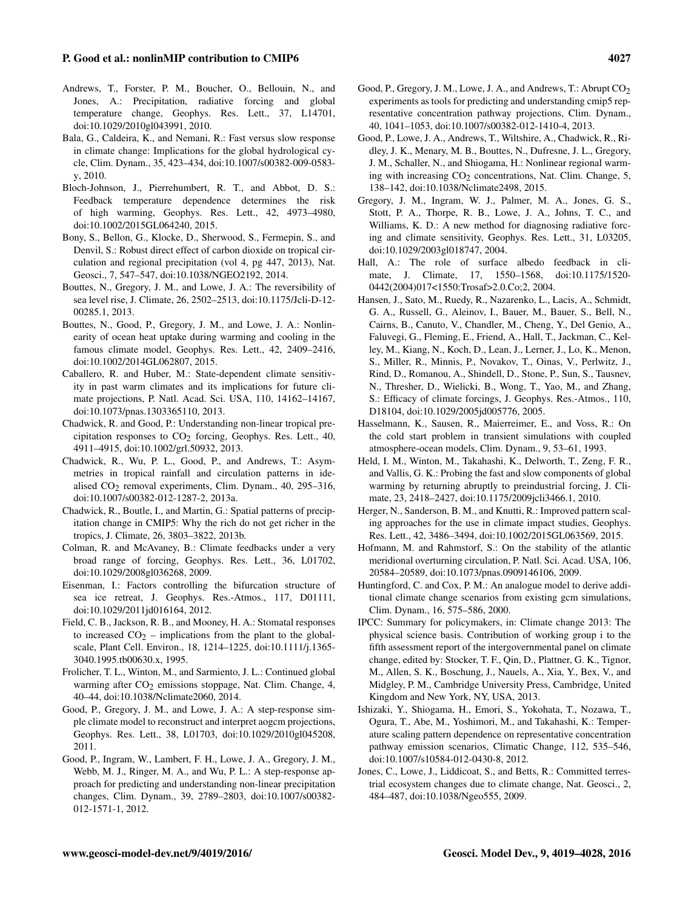#### P. Good et al.: nonlinMIP contribution to CMIP6 4027

- Andrews, T., Forster, P. M., Boucher, O., Bellouin, N., and Jones, A.: Precipitation, radiative forcing and global temperature change, Geophys. Res. Lett., 37, L14701, doi[:10.1029/2010gl043991,](http://dx.doi.org/10.1029/2010gl043991) 2010.
- Bala, G., Caldeira, K., and Nemani, R.: Fast versus slow response in climate change: Implications for the global hydrological cycle, Clim. Dynam., 35, 423–434, doi[:10.1007/s00382-009-0583](http://dx.doi.org/10.1007/s00382-009-0583-y) [y,](http://dx.doi.org/10.1007/s00382-009-0583-y) 2010.
- Bloch-Johnson, J., Pierrehumbert, R. T., and Abbot, D. S.: Feedback temperature dependence determines the risk of high warming, Geophys. Res. Lett., 42, 4973–4980, doi[:10.1002/2015GL064240,](http://dx.doi.org/10.1002/2015GL064240) 2015.
- Bony, S., Bellon, G., Klocke, D., Sherwood, S., Fermepin, S., and Denvil, S.: Robust direct effect of carbon dioxide on tropical circulation and regional precipitation (vol 4, pg 447, 2013), Nat. Geosci., 7, 547–547, doi[:10.1038/NGEO2192,](http://dx.doi.org/10.1038/NGEO2192) 2014.
- Bouttes, N., Gregory, J. M., and Lowe, J. A.: The reversibility of sea level rise, J. Climate, 26, 2502–2513, doi[:10.1175/Jcli-D-12-](http://dx.doi.org/10.1175/Jcli-D-12-00285.1) [00285.1,](http://dx.doi.org/10.1175/Jcli-D-12-00285.1) 2013.
- Bouttes, N., Good, P., Gregory, J. M., and Lowe, J. A.: Nonlinearity of ocean heat uptake during warming and cooling in the famous climate model, Geophys. Res. Lett., 42, 2409–2416, doi[:10.1002/2014GL062807,](http://dx.doi.org/10.1002/2014GL062807) 2015.
- Caballero, R. and Huber, M.: State-dependent climate sensitivity in past warm climates and its implications for future climate projections, P. Natl. Acad. Sci. USA, 110, 14162–14167, doi[:10.1073/pnas.1303365110,](http://dx.doi.org/10.1073/pnas.1303365110) 2013.
- Chadwick, R. and Good, P.: Understanding non-linear tropical precipitation responses to  $CO<sub>2</sub>$  forcing, Geophys. Res. Lett., 40, 4911–4915, doi[:10.1002/grl.50932,](http://dx.doi.org/10.1002/grl.50932) 2013.
- Chadwick, R., Wu, P. L., Good, P., and Andrews, T.: Asymmetries in tropical rainfall and circulation patterns in idealised  $CO<sub>2</sub>$  removal experiments, Clim. Dynam., 40, 295–316, doi[:10.1007/s00382-012-1287-2,](http://dx.doi.org/10.1007/s00382-012-1287-2) 2013a.
- Chadwick, R., Boutle, I., and Martin, G.: Spatial patterns of precipitation change in CMIP5: Why the rich do not get richer in the tropics, J. Climate, 26, 3803–3822, 2013b.
- Colman, R. and McAvaney, B.: Climate feedbacks under a very broad range of forcing, Geophys. Res. Lett., 36, L01702, doi[:10.1029/2008gl036268,](http://dx.doi.org/10.1029/2008gl036268) 2009.
- Eisenman, I.: Factors controlling the bifurcation structure of sea ice retreat, J. Geophys. Res.-Atmos., 117, D01111, doi[:10.1029/2011jd016164,](http://dx.doi.org/10.1029/2011jd016164) 2012.
- Field, C. B., Jackson, R. B., and Mooney, H. A.: Stomatal responses to increased  $CO<sub>2</sub>$  – implications from the plant to the globalscale, Plant Cell. Environ., 18, 1214–1225, doi[:10.1111/j.1365-](http://dx.doi.org/10.1111/j.1365-3040.1995.tb00630.x) [3040.1995.tb00630.x,](http://dx.doi.org/10.1111/j.1365-3040.1995.tb00630.x) 1995.
- Frolicher, T. L., Winton, M., and Sarmiento, J. L.: Continued global warming after  $CO<sub>2</sub>$  emissions stoppage, Nat. Clim. Change, 4, 40–44, doi[:10.1038/Nclimate2060,](http://dx.doi.org/10.1038/Nclimate2060) 2014.
- Good, P., Gregory, J. M., and Lowe, J. A.: A step-response simple climate model to reconstruct and interpret aogcm projections, Geophys. Res. Lett., 38, L01703, doi[:10.1029/2010gl045208,](http://dx.doi.org/10.1029/2010gl045208) 2011.
- Good, P., Ingram, W., Lambert, F. H., Lowe, J. A., Gregory, J. M., Webb, M. J., Ringer, M. A., and Wu, P. L.: A step-response approach for predicting and understanding non-linear precipitation changes, Clim. Dynam., 39, 2789–2803, doi[:10.1007/s00382-](http://dx.doi.org/10.1007/s00382-012-1571-1) [012-1571-1,](http://dx.doi.org/10.1007/s00382-012-1571-1) 2012.
- Good, P., Gregory, J. M., Lowe, J. A., and Andrews, T.: Abrupt CO<sub>2</sub> experiments as tools for predicting and understanding cmip5 representative concentration pathway projections, Clim. Dynam., 40, 1041–1053, doi[:10.1007/s00382-012-1410-4,](http://dx.doi.org/10.1007/s00382-012-1410-4) 2013.
- Good, P., Lowe, J. A., Andrews, T., Wiltshire, A., Chadwick, R., Ridley, J. K., Menary, M. B., Bouttes, N., Dufresne, J. L., Gregory, J. M., Schaller, N., and Shiogama, H.: Nonlinear regional warming with increasing  $CO<sub>2</sub>$  concentrations, Nat. Clim. Change, 5, 138–142, doi[:10.1038/Nclimate2498,](http://dx.doi.org/10.1038/Nclimate2498) 2015.
- Gregory, J. M., Ingram, W. J., Palmer, M. A., Jones, G. S., Stott, P. A., Thorpe, R. B., Lowe, J. A., Johns, T. C., and Williams, K. D.: A new method for diagnosing radiative forcing and climate sensitivity, Geophys. Res. Lett., 31, L03205, doi[:10.1029/2003gl018747,](http://dx.doi.org/10.1029/2003gl018747) 2004.
- Hall, A.: The role of surface albedo feedback in climate, J. Climate, 17, 1550–1568, doi[:10.1175/1520-](http://dx.doi.org/10.1175/1520-0442(2004)017<1550:Trosaf>2.0.Co;2) [0442\(2004\)017<1550:Trosaf>2.0.Co;2,](http://dx.doi.org/10.1175/1520-0442(2004)017<1550:Trosaf>2.0.Co;2) 2004.
- Hansen, J., Sato, M., Ruedy, R., Nazarenko, L., Lacis, A., Schmidt, G. A., Russell, G., Aleinov, I., Bauer, M., Bauer, S., Bell, N., Cairns, B., Canuto, V., Chandler, M., Cheng, Y., Del Genio, A., Faluvegi, G., Fleming, E., Friend, A., Hall, T., Jackman, C., Kelley, M., Kiang, N., Koch, D., Lean, J., Lerner, J., Lo, K., Menon, S., Miller, R., Minnis, P., Novakov, T., Oinas, V., Perlwitz, J., Rind, D., Romanou, A., Shindell, D., Stone, P., Sun, S., Tausnev, N., Thresher, D., Wielicki, B., Wong, T., Yao, M., and Zhang, S.: Efficacy of climate forcings, J. Geophys. Res.-Atmos., 110, D18104, doi[:10.1029/2005jd005776,](http://dx.doi.org/10.1029/2005jd005776) 2005.
- Hasselmann, K., Sausen, R., Maierreimer, E., and Voss, R.: On the cold start problem in transient simulations with coupled atmosphere-ocean models, Clim. Dynam., 9, 53–61, 1993.
- Held, I. M., Winton, M., Takahashi, K., Delworth, T., Zeng, F. R., and Vallis, G. K.: Probing the fast and slow components of global warming by returning abruptly to preindustrial forcing, J. Climate, 23, 2418–2427, doi[:10.1175/2009jcli3466.1,](http://dx.doi.org/10.1175/2009jcli3466.1) 2010.
- Herger, N., Sanderson, B. M., and Knutti, R.: Improved pattern scaling approaches for the use in climate impact studies, Geophys. Res. Lett., 42, 3486–3494, doi[:10.1002/2015GL063569,](http://dx.doi.org/10.1002/2015GL063569) 2015.
- Hofmann, M. and Rahmstorf, S.: On the stability of the atlantic meridional overturning circulation, P. Natl. Sci. Acad. USA, 106, 20584–20589, doi[:10.1073/pnas.0909146106,](http://dx.doi.org/10.1073/pnas.0909146106) 2009.
- Huntingford, C. and Cox, P. M.: An analogue model to derive additional climate change scenarios from existing gcm simulations, Clim. Dynam., 16, 575–586, 2000.
- IPCC: Summary for policymakers, in: Climate change 2013: The physical science basis. Contribution of working group i to the fifth assessment report of the intergovernmental panel on climate change, edited by: Stocker, T. F., Qin, D., Plattner, G. K., Tignor, M., Allen, S. K., Boschung, J., Nauels, A., Xia, Y., Bex, V., and Midgley, P. M., Cambridge University Press, Cambridge, United Kingdom and New York, NY, USA, 2013.
- Ishizaki, Y., Shiogama, H., Emori, S., Yokohata, T., Nozawa, T., Ogura, T., Abe, M., Yoshimori, M., and Takahashi, K.: Temperature scaling pattern dependence on representative concentration pathway emission scenarios, Climatic Change, 112, 535–546, doi[:10.1007/s10584-012-0430-8,](http://dx.doi.org/10.1007/s10584-012-0430-8) 2012.
- Jones, C., Lowe, J., Liddicoat, S., and Betts, R.: Committed terrestrial ecosystem changes due to climate change, Nat. Geosci., 2, 484–487, doi[:10.1038/Ngeo555,](http://dx.doi.org/10.1038/Ngeo555) 2009.